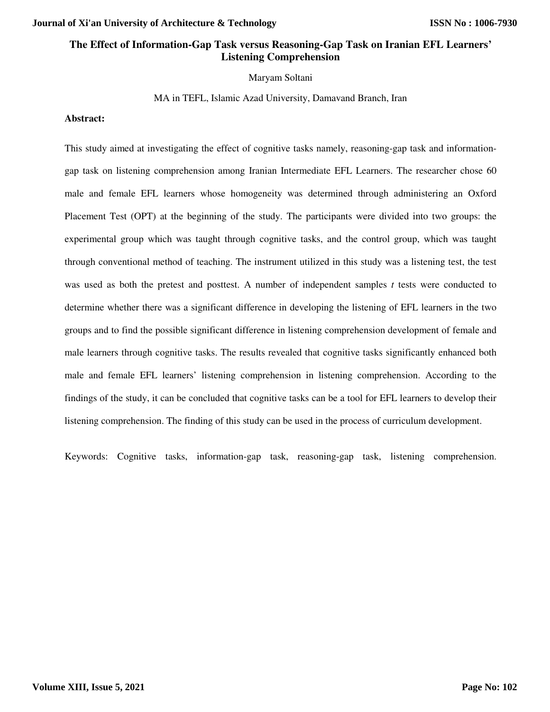# **The Effect of Information-Gap Task versus Reasoning-Gap Task on Iranian EFL Learners' Listening Comprehension**

#### Maryam Soltani

MA in TEFL, Islamic Azad University, Damavand Branch, Iran

#### **Abstract:**

This study aimed at investigating the effect of cognitive tasks namely, reasoning-gap task and informationgap task on listening comprehension among Iranian Intermediate EFL Learners. The researcher chose 60 male and female EFL learners whose homogeneity was determined through administering an Oxford Placement Test (OPT) at the beginning of the study. The participants were divided into two groups: the experimental group which was taught through cognitive tasks, and the control group, which was taught through conventional method of teaching. The instrument utilized in this study was a listening test, the test was used as both the pretest and posttest. A number of independent samples *t* tests were conducted to determine whether there was a significant difference in developing the listening of EFL learners in the two groups and to find the possible significant difference in listening comprehension development of female and male learners through cognitive tasks. The results revealed that cognitive tasks significantly enhanced both male and female EFL learners' listening comprehension in listening comprehension. According to the findings of the study, it can be concluded that cognitive tasks can be a tool for EFL learners to develop their listening comprehension. The finding of this study can be used in the process of curriculum development.

Keywords: Cognitive tasks, information-gap task, reasoning-gap task, listening comprehension.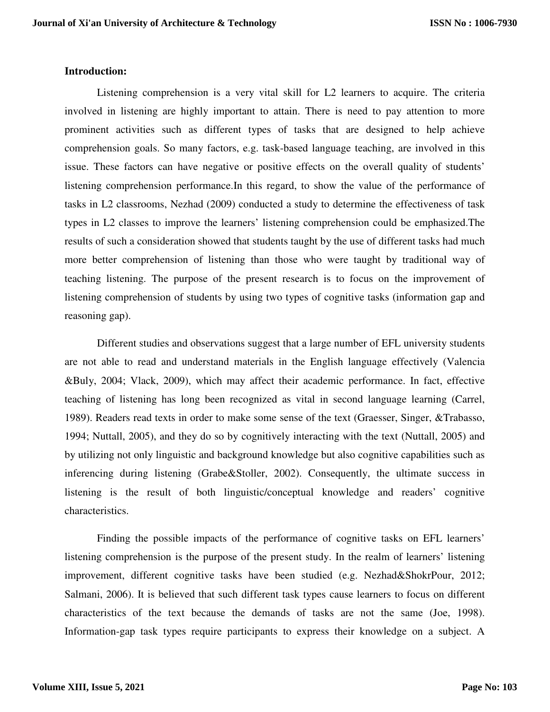## **Introduction:**

Listening comprehension is a very vital skill for L2 learners to acquire. The criteria involved in listening are highly important to attain. There is need to pay attention to more prominent activities such as different types of tasks that are designed to help achieve comprehension goals. So many factors, e.g. task-based language teaching, are involved in this issue. These factors can have negative or positive effects on the overall quality of students' listening comprehension performance.In this regard, to show the value of the performance of tasks in L2 classrooms, Nezhad (2009) conducted a study to determine the effectiveness of task types in L2 classes to improve the learners' listening comprehension could be emphasized.The results of such a consideration showed that students taught by the use of different tasks had much more better comprehension of listening than those who were taught by traditional way of teaching listening. The purpose of the present research is to focus on the improvement of listening comprehension of students by using two types of cognitive tasks (information gap and reasoning gap).

Different studies and observations suggest that a large number of EFL university students are not able to read and understand materials in the English language effectively (Valencia &Buly, 2004; Vlack, 2009), which may affect their academic performance. In fact, effective teaching of listening has long been recognized as vital in second language learning (Carrel, 1989). Readers read texts in order to make some sense of the text (Graesser, Singer, &Trabasso, 1994; Nuttall, 2005), and they do so by cognitively interacting with the text (Nuttall, 2005) and by utilizing not only linguistic and background knowledge but also cognitive capabilities such as inferencing during listening (Grabe&Stoller, 2002). Consequently, the ultimate success in listening is the result of both linguistic/conceptual knowledge and readers' cognitive characteristics.

Finding the possible impacts of the performance of cognitive tasks on EFL learners' listening comprehension is the purpose of the present study. In the realm of learners' listening improvement, different cognitive tasks have been studied (e.g. Nezhad&ShokrPour, 2012; Salmani, 2006). It is believed that such different task types cause learners to focus on different characteristics of the text because the demands of tasks are not the same (Joe, 1998). Information-gap task types require participants to express their knowledge on a subject. A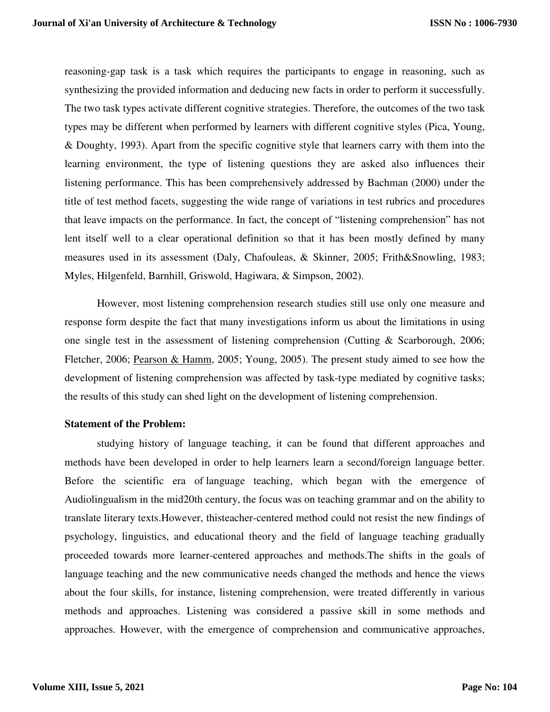reasoning-gap task is a task which requires the participants to engage in reasoning, such as synthesizing the provided information and deducing new facts in order to perform it successfully. The two task types activate different cognitive strategies. Therefore, the outcomes of the two task types may be different when performed by learners with different cognitive styles (Pica, Young, & Doughty, 1993). Apart from the specific cognitive style that learners carry with them into the learning environment, the type of listening questions they are asked also influences their listening performance. This has been comprehensively addressed by Bachman (2000) under the title of test method facets, suggesting the wide range of variations in test rubrics and procedures that leave impacts on the performance. In fact, the concept of "listening comprehension" has not lent itself well to a clear operational definition so that it has been mostly defined by many measures used in its assessment (Daly, Chafouleas, & Skinner, 2005; Frith&Snowling, 1983; Myles, Hilgenfeld, Barnhill, Griswold, Hagiwara, & Simpson, 2002).

However, most listening comprehension research studies still use only one measure and response form despite the fact that many investigations inform us about the limitations in using one single test in the assessment of listening comprehension (Cutting & Scarborough, 2006; Fletcher, 2006; Pearson & Hamm, 2005; Young, 2005). The present study aimed to see how the development of listening comprehension was affected by task-type mediated by cognitive tasks; the results of this study can shed light on the development of listening comprehension.

### **Statement of the Problem:**

studying history of language teaching, it can be found that different approaches and methods have been developed in order to help learners learn a second/foreign language better. Before the scientific era of language teaching, which began with the emergence of Audiolingualism in the mid20th century, the focus was on teaching grammar and on the ability to translate literary texts.However, thisteacher-centered method could not resist the new findings of psychology, linguistics, and educational theory and the field of language teaching gradually proceeded towards more learner-centered approaches and methods.The shifts in the goals of language teaching and the new communicative needs changed the methods and hence the views about the four skills, for instance, listening comprehension, were treated differently in various methods and approaches. Listening was considered a passive skill in some methods and approaches. However, with the emergence of comprehension and communicative approaches,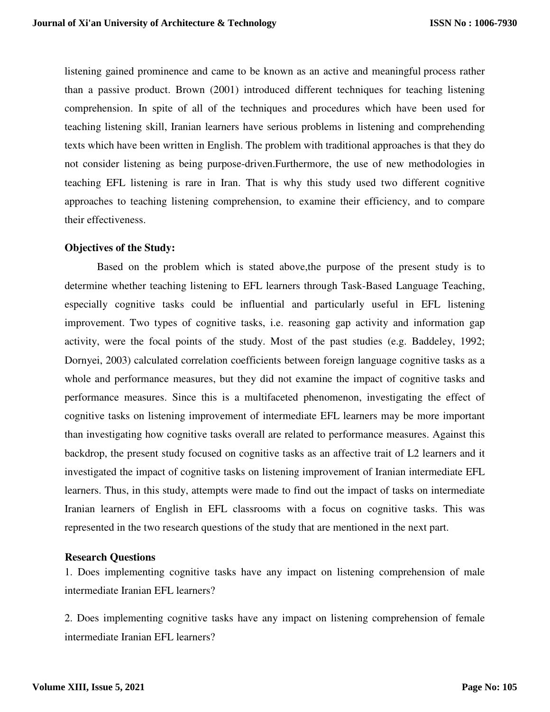listening gained prominence and came to be known as an active and meaningful process rather than a passive product. Brown (2001) introduced different techniques for teaching listening comprehension. In spite of all of the techniques and procedures which have been used for teaching listening skill, Iranian learners have serious problems in listening and comprehending texts which have been written in English. The problem with traditional approaches is that they do not consider listening as being purpose-driven.Furthermore, the use of new methodologies in teaching EFL listening is rare in Iran. That is why this study used two different cognitive approaches to teaching listening comprehension, to examine their efficiency, and to compare their effectiveness.

# **Objectives of the Study:**

Based on the problem which is stated above,the purpose of the present study is to determine whether teaching listening to EFL learners through Task-Based Language Teaching, especially cognitive tasks could be influential and particularly useful in EFL listening improvement. Two types of cognitive tasks, i.e. reasoning gap activity and information gap activity, were the focal points of the study. Most of the past studies (e.g. Baddeley, 1992; Dornyei, 2003) calculated correlation coefficients between foreign language cognitive tasks as a whole and performance measures, but they did not examine the impact of cognitive tasks and performance measures. Since this is a multifaceted phenomenon, investigating the effect of cognitive tasks on listening improvement of intermediate EFL learners may be more important than investigating how cognitive tasks overall are related to performance measures. Against this backdrop, the present study focused on cognitive tasks as an affective trait of L2 learners and it investigated the impact of cognitive tasks on listening improvement of Iranian intermediate EFL learners. Thus, in this study, attempts were made to find out the impact of tasks on intermediate Iranian learners of English in EFL classrooms with a focus on cognitive tasks. This was represented in the two research questions of the study that are mentioned in the next part.

### **Research Questions**

1. Does implementing cognitive tasks have any impact on listening comprehension of male intermediate Iranian EFL learners?

2. Does implementing cognitive tasks have any impact on listening comprehension of female intermediate Iranian EFL learners?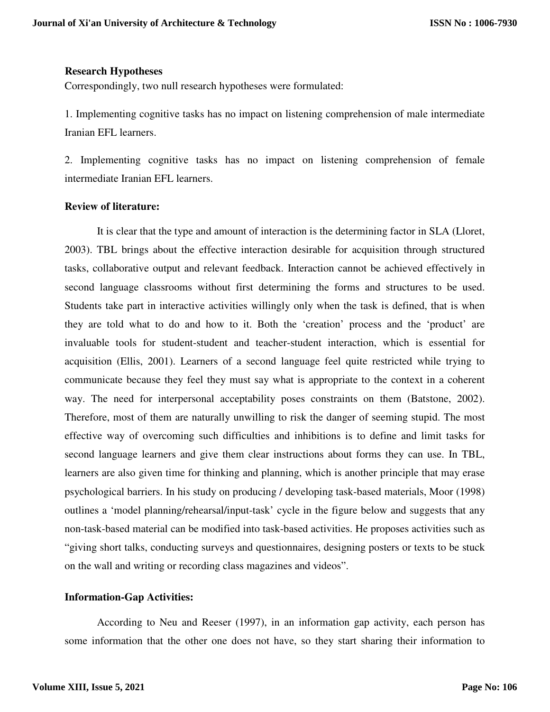# **Research Hypotheses**

Correspondingly, two null research hypotheses were formulated:

1. Implementing cognitive tasks has no impact on listening comprehension of male intermediate Iranian EFL learners.

2. Implementing cognitive tasks has no impact on listening comprehension of female intermediate Iranian EFL learners.

# **Review of literature:**

It is clear that the type and amount of interaction is the determining factor in SLA (Lloret, 2003). TBL brings about the effective interaction desirable for acquisition through structured tasks, collaborative output and relevant feedback. Interaction cannot be achieved effectively in second language classrooms without first determining the forms and structures to be used. Students take part in interactive activities willingly only when the task is defined, that is when they are told what to do and how to it. Both the 'creation' process and the 'product' are invaluable tools for student-student and teacher-student interaction, which is essential for acquisition (Ellis, 2001). Learners of a second language feel quite restricted while trying to communicate because they feel they must say what is appropriate to the context in a coherent way. The need for interpersonal acceptability poses constraints on them (Batstone, 2002). Therefore, most of them are naturally unwilling to risk the danger of seeming stupid. The most effective way of overcoming such difficulties and inhibitions is to define and limit tasks for second language learners and give them clear instructions about forms they can use. In TBL, learners are also given time for thinking and planning, which is another principle that may erase psychological barriers. In his study on producing / developing task-based materials, Moor (1998) outlines a 'model planning/rehearsal/input-task' cycle in the figure below and suggests that any non-task-based material can be modified into task-based activities. He proposes activities such as "giving short talks, conducting surveys and questionnaires, designing posters or texts to be stuck on the wall and writing or recording class magazines and videos".

# **Information-Gap Activities:**

According to Neu and Reeser (1997), in an information gap activity, each person has some information that the other one does not have, so they start sharing their information to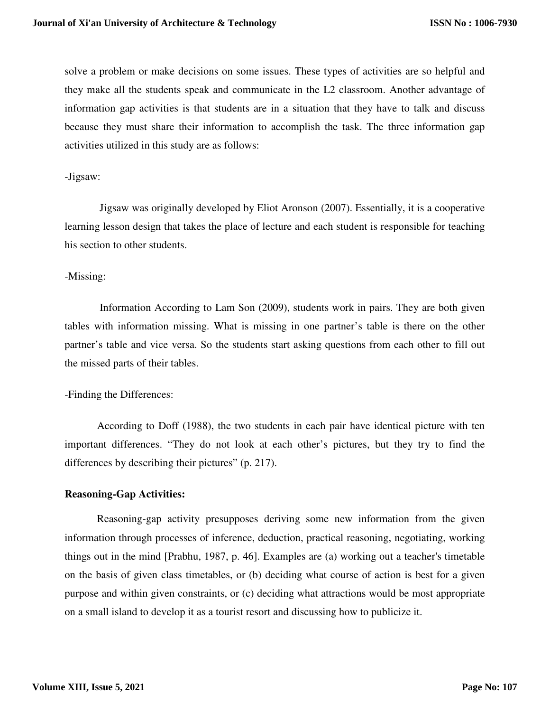solve a problem or make decisions on some issues. These types of activities are so helpful and they make all the students speak and communicate in the L2 classroom. Another advantage of information gap activities is that students are in a situation that they have to talk and discuss because they must share their information to accomplish the task. The three information gap activities utilized in this study are as follows:

# -Jigsaw:

 Jigsaw was originally developed by Eliot Aronson (2007). Essentially, it is a cooperative learning lesson design that takes the place of lecture and each student is responsible for teaching his section to other students.

# -Missing:

 Information According to Lam Son (2009), students work in pairs. They are both given tables with information missing. What is missing in one partner's table is there on the other partner's table and vice versa. So the students start asking questions from each other to fill out the missed parts of their tables.

# -Finding the Differences:

According to Doff (1988), the two students in each pair have identical picture with ten important differences. "They do not look at each other's pictures, but they try to find the differences by describing their pictures" (p. 217).

# **Reasoning-Gap Activities:**

Reasoning-gap activity presupposes deriving some new information from the given information through processes of inference, deduction, practical reasoning, negotiating, working things out in the mind [Prabhu, 1987, p. 46]. Examples are (a) working out a teacher's timetable on the basis of given class timetables, or (b) deciding what course of action is best for a given purpose and within given constraints, or (c) deciding what attractions would be most appropriate on a small island to develop it as a tourist resort and discussing how to publicize it.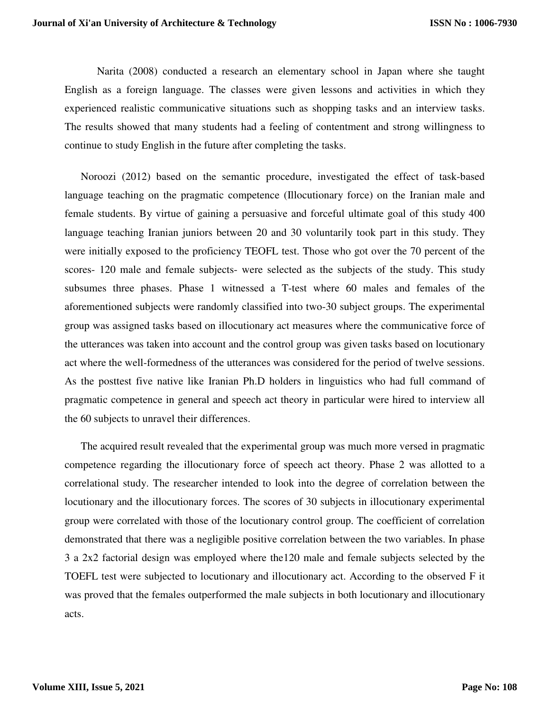Narita (2008) conducted a research an elementary school in Japan where she taught English as a foreign language. The classes were given lessons and activities in which they experienced realistic communicative situations such as shopping tasks and an interview tasks. The results showed that many students had a feeling of contentment and strong willingness to continue to study English in the future after completing the tasks.

Noroozi (2012) based on the semantic procedure, investigated the effect of task-based language teaching on the pragmatic competence (Illocutionary force) on the Iranian male and female students. By virtue of gaining a persuasive and forceful ultimate goal of this study 400 language teaching Iranian juniors between 20 and 30 voluntarily took part in this study. They were initially exposed to the proficiency TEOFL test. Those who got over the 70 percent of the scores- 120 male and female subjects- were selected as the subjects of the study. This study subsumes three phases. Phase 1 witnessed a T-test where 60 males and females of the aforementioned subjects were randomly classified into two-30 subject groups. The experimental group was assigned tasks based on illocutionary act measures where the communicative force of the utterances was taken into account and the control group was given tasks based on locutionary act where the well-formedness of the utterances was considered for the period of twelve sessions. As the posttest five native like Iranian Ph.D holders in linguistics who had full command of pragmatic competence in general and speech act theory in particular were hired to interview all the 60 subjects to unravel their differences.

The acquired result revealed that the experimental group was much more versed in pragmatic competence regarding the illocutionary force of speech act theory. Phase 2 was allotted to a correlational study. The researcher intended to look into the degree of correlation between the locutionary and the illocutionary forces. The scores of 30 subjects in illocutionary experimental group were correlated with those of the locutionary control group. The coefficient of correlation demonstrated that there was a negligible positive correlation between the two variables. In phase 3 a 2x2 factorial design was employed where the120 male and female subjects selected by the TOEFL test were subjected to locutionary and illocutionary act. According to the observed F it was proved that the females outperformed the male subjects in both locutionary and illocutionary acts.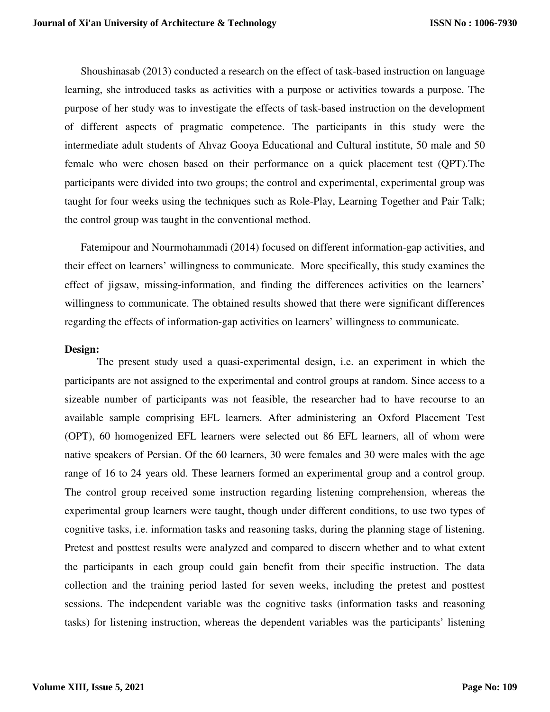Shoushinasab (2013) conducted a research on the effect of task-based instruction on language learning, she introduced tasks as activities with a purpose or activities towards a purpose. The purpose of her study was to investigate the effects of task-based instruction on the development of different aspects of pragmatic competence. The participants in this study were the intermediate adult students of Ahvaz Gooya Educational and Cultural institute, 50 male and 50 female who were chosen based on their performance on a quick placement test (QPT).The participants were divided into two groups; the control and experimental, experimental group was taught for four weeks using the techniques such as Role-Play, Learning Together and Pair Talk; the control group was taught in the conventional method.

Fatemipour and Nourmohammadi (2014) focused on different information-gap activities, and their effect on learners' willingness to communicate. More specifically, this study examines the effect of jigsaw, missing-information, and finding the differences activities on the learners' willingness to communicate. The obtained results showed that there were significant differences regarding the effects of information-gap activities on learners' willingness to communicate.

#### **Design:**

The present study used a quasi-experimental design, i.e. an experiment in which the participants are not assigned to the experimental and control groups at random. Since access to a sizeable number of participants was not feasible, the researcher had to have recourse to an available sample comprising EFL learners. After administering an Oxford Placement Test (OPT), 60 homogenized EFL learners were selected out 86 EFL learners, all of whom were native speakers of Persian. Of the 60 learners, 30 were females and 30 were males with the age range of 16 to 24 years old. These learners formed an experimental group and a control group. The control group received some instruction regarding listening comprehension, whereas the experimental group learners were taught, though under different conditions, to use two types of cognitive tasks, i.e. information tasks and reasoning tasks, during the planning stage of listening. Pretest and posttest results were analyzed and compared to discern whether and to what extent the participants in each group could gain benefit from their specific instruction. The data collection and the training period lasted for seven weeks, including the pretest and posttest sessions. The independent variable was the cognitive tasks (information tasks and reasoning tasks) for listening instruction, whereas the dependent variables was the participants' listening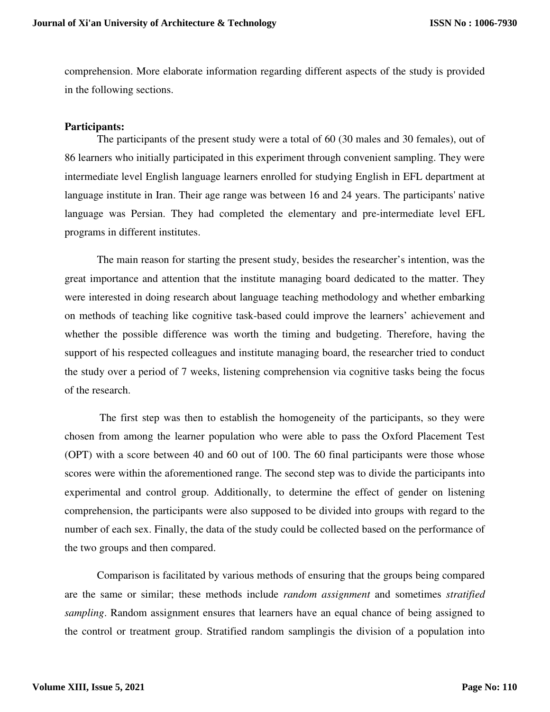comprehension. More elaborate information regarding different aspects of the study is provided in the following sections.

## **Participants:**

The participants of the present study were a total of 60 (30 males and 30 females), out of 86 learners who initially participated in this experiment through convenient sampling. They were intermediate level English language learners enrolled for studying English in EFL department at language institute in Iran. Their age range was between 16 and 24 years. The participants' native language was Persian. They had completed the elementary and pre-intermediate level EFL programs in different institutes.

The main reason for starting the present study, besides the researcher's intention, was the great importance and attention that the institute managing board dedicated to the matter. They were interested in doing research about language teaching methodology and whether embarking on methods of teaching like cognitive task-based could improve the learners' achievement and whether the possible difference was worth the timing and budgeting. Therefore, having the support of his respected colleagues and institute managing board, the researcher tried to conduct the study over a period of 7 weeks, listening comprehension via cognitive tasks being the focus of the research.

 The first step was then to establish the homogeneity of the participants, so they were chosen from among the learner population who were able to pass the Oxford Placement Test (OPT) with a score between 40 and 60 out of 100. The 60 final participants were those whose scores were within the aforementioned range. The second step was to divide the participants into experimental and control group. Additionally, to determine the effect of gender on listening comprehension, the participants were also supposed to be divided into groups with regard to the number of each sex. Finally, the data of the study could be collected based on the performance of the two groups and then compared.

Comparison is facilitated by various methods of ensuring that the groups being compared are the same or similar; these methods include *random assignment* and sometimes *stratified sampling*. Random assignment ensures that learners have an equal chance of being assigned to the control or treatment group. Stratified random samplingis the division of a population into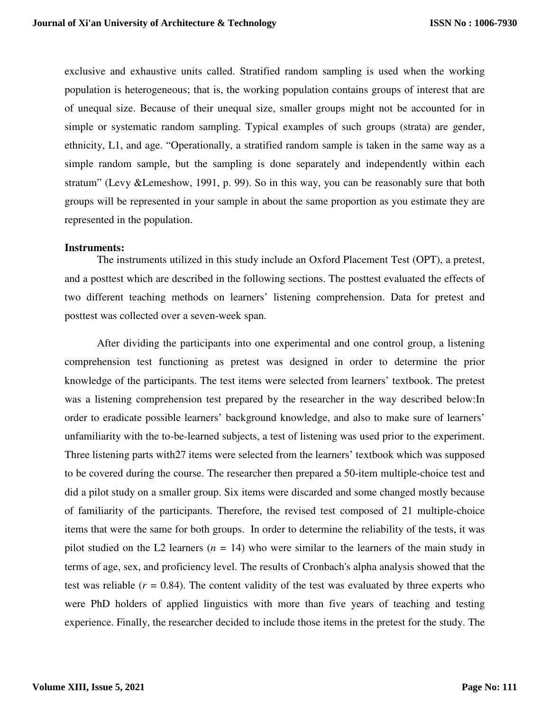exclusive and exhaustive units called. Stratified random sampling is used when the working population is heterogeneous; that is, the working population contains groups of interest that are of unequal size. Because of their unequal size, smaller groups might not be accounted for in simple or systematic random sampling. Typical examples of such groups (strata) are gender, ethnicity, L1, and age. "Operationally, a stratified random sample is taken in the same way as a simple random sample, but the sampling is done separately and independently within each stratum" (Levy &Lemeshow, 1991, p. 99). So in this way, you can be reasonably sure that both groups will be represented in your sample in about the same proportion as you estimate they are represented in the population.

### **Instruments:**

The instruments utilized in this study include an Oxford Placement Test (OPT), a pretest, and a posttest which are described in the following sections. The posttest evaluated the effects of two different teaching methods on learners' listening comprehension. Data for pretest and posttest was collected over a seven-week span.

After dividing the participants into one experimental and one control group, a listening comprehension test functioning as pretest was designed in order to determine the prior knowledge of the participants. The test items were selected from learners' textbook. The pretest was a listening comprehension test prepared by the researcher in the way described below:In order to eradicate possible learners' background knowledge, and also to make sure of learners' unfamiliarity with the to-be-learned subjects, a test of listening was used prior to the experiment. Three listening parts with27 items were selected from the learners' textbook which was supposed to be covered during the course. The researcher then prepared a 50-item multiple-choice test and did a pilot study on a smaller group. Six items were discarded and some changed mostly because of familiarity of the participants. Therefore, the revised test composed of 21 multiple-choice items that were the same for both groups. In order to determine the reliability of the tests, it was pilot studied on the L2 learners  $(n = 14)$  who were similar to the learners of the main study in terms of age, sex, and proficiency level. The results of Cronbach's alpha analysis showed that the test was reliable  $(r = 0.84)$ . The content validity of the test was evaluated by three experts who were PhD holders of applied linguistics with more than five years of teaching and testing experience. Finally, the researcher decided to include those items in the pretest for the study. The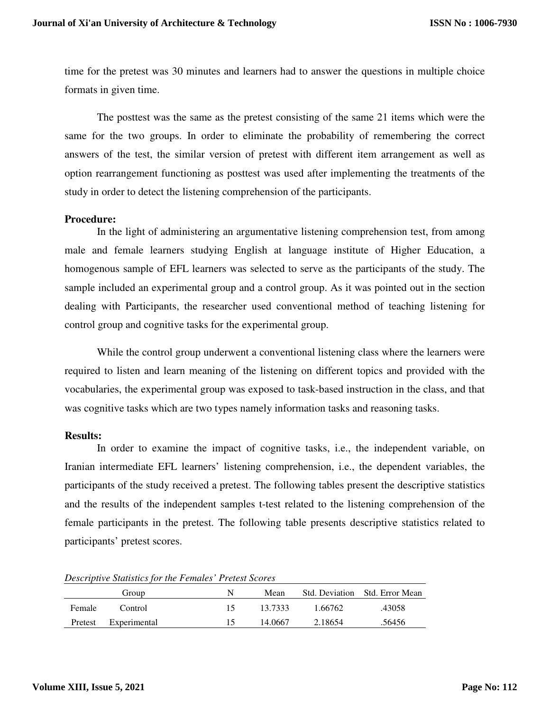time for the pretest was 30 minutes and learners had to answer the questions in multiple choice formats in given time.

The posttest was the same as the pretest consisting of the same 21 items which were the same for the two groups. In order to eliminate the probability of remembering the correct answers of the test, the similar version of pretest with different item arrangement as well as option rearrangement functioning as posttest was used after implementing the treatments of the study in order to detect the listening comprehension of the participants.

### **Procedure:**

In the light of administering an argumentative listening comprehension test, from among male and female learners studying English at language institute of Higher Education, a homogenous sample of EFL learners was selected to serve as the participants of the study. The sample included an experimental group and a control group. As it was pointed out in the section dealing with Participants, the researcher used conventional method of teaching listening for control group and cognitive tasks for the experimental group.

While the control group underwent a conventional listening class where the learners were required to listen and learn meaning of the listening on different topics and provided with the vocabularies, the experimental group was exposed to task-based instruction in the class, and that was cognitive tasks which are two types namely information tasks and reasoning tasks.

### **Results:**

In order to examine the impact of cognitive tasks, i.e., the independent variable, on Iranian intermediate EFL learners' listening comprehension, i.e., the dependent variables, the participants of the study received a pretest. The following tables present the descriptive statistics and the results of the independent samples t-test related to the listening comprehension of the female participants in the pretest. The following table presents descriptive statistics related to participants' pretest scores.

|         | Group        | N  | Mean    |         | Std. Deviation Std. Error Mean |
|---------|--------------|----|---------|---------|--------------------------------|
| Female  | Control      | 15 | 13.7333 | 1.66762 | .43058                         |
| Pretest | Experimental |    | 14.0667 | 2.18654 | .56456                         |

## *Descriptive Statistics for the Females' Pretest Scores*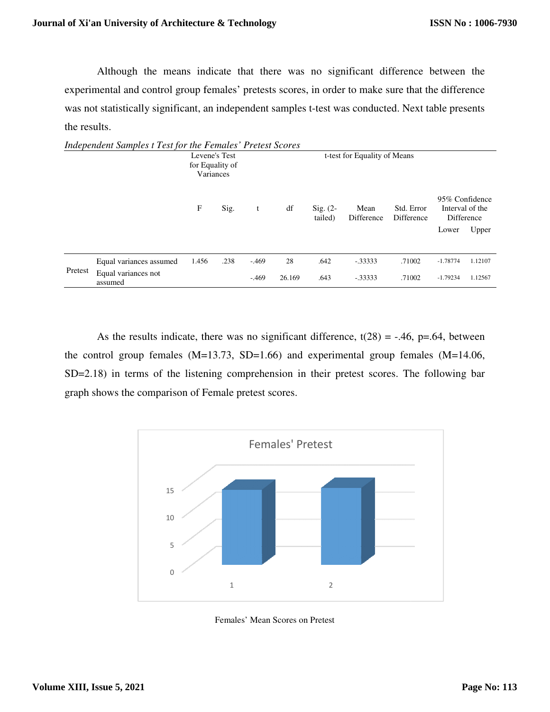Although the means indicate that there was no significant difference between the experimental and control group females' pretests scores, in order to make sure that the difference was not statistically significant, an independent samples t-test was conducted. Next table presents the results. indicate that there was no significant difference betw<br>o females' pretests scores, in order to make sure that the d<br>i, an independent samples t-test was conducted. Next table

|         | Independent Samples t Test for the Females' Pretest Scores |                                               |      |         |        |                       |                              |                          |            |                                                 |
|---------|------------------------------------------------------------|-----------------------------------------------|------|---------|--------|-----------------------|------------------------------|--------------------------|------------|-------------------------------------------------|
|         |                                                            | Levene's Test<br>for Equality of<br>Variances |      |         |        |                       | t-test for Equality of Means |                          |            |                                                 |
|         |                                                            | F                                             | Sig. | t       | df     | $Sig. (2-$<br>tailed) | Mean<br>Difference           | Std. Error<br>Difference |            | 95% Confidence<br>Interval of the<br>Difference |
|         |                                                            |                                               |      |         |        |                       |                              |                          | Lower      | Upper                                           |
|         | Equal variances assumed                                    | 1.456                                         | .238 | $-.469$ | 28     | .642                  | $-0.33333$                   | .71002                   | $-1.78774$ | 1.12107                                         |
| Pretest | Equal variances not<br>assumed                             |                                               |      | $-.469$ | 26.169 | .643                  | $-0.33333$                   | .71002                   | $-1.79234$ | 1.12567                                         |

As the results indicate, there was no significant difference,  $t(28) = -.46$ ,  $p=.64$ , between the control group females (M=13.73, SD=1.66) and experimental group females (M=14.06, SD=2.18) in terms of the listening comprehension in their pretest scores. The f graph shows the comparison of Female pretest scores control group females (M=13.73, SD=1.66) and experimental group females <br>
:2.18) in terms of the listening comprehension in their pretest scores. The fol<br>
h shows the comparison of Female pretest scores. .46, p=.64, between<br>females  $(M=14.06$ ,<br>The following bar



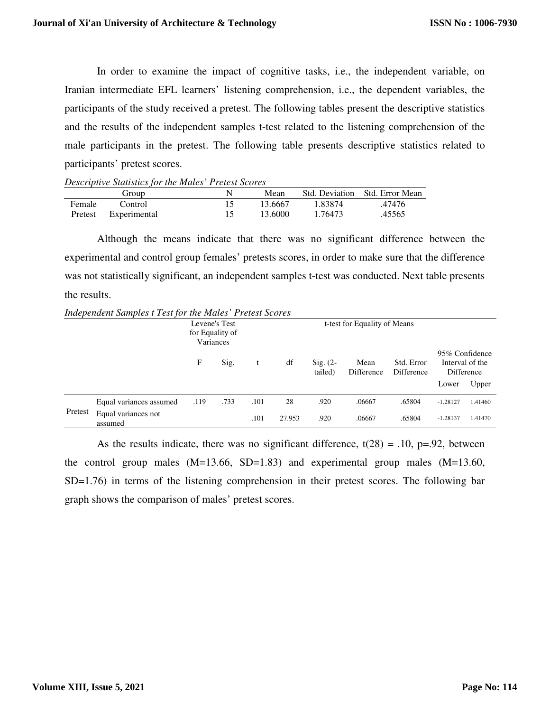In order to examine the impact of cognitive tasks, i.e., the independent variable, on Iranian intermediate EFL learners' listening comprehension, i.e., the dependent variables, the participants of the study received a pretest. The following tables present the descriptive statistics and the results of the independent samples t-test related to the listening comprehension of the male participants in the pretest. The following table presents descriptive statistics related to participants' pretest scores.

|               | Descriptive Statistics for the mates Fretest Scores |         |         |                                |
|---------------|-----------------------------------------------------|---------|---------|--------------------------------|
|               | Group                                               | Mean    |         | Std. Deviation Std. Error Mean |
| <b>Female</b> | Control                                             | 13.6667 | 1 83874 | .47476                         |
| Pretest       | Experimental                                        | 13.6000 | 1.76473 | .45565                         |

*Descriptive Statistics for the Males' Pretest Scores* 

Although the means indicate that there was no significant difference between the experimental and control group females' pretests scores, in order to make sure that the difference was not statistically significant, an independent samples t-test was conducted. Next table presents the results.

*Independent Samples t Test for the Males' Pretest Scores* 

|         |                                |      | Levene's Test<br>for Equality of<br>Variances | t-test for Equality of Means |        |                       |                    |                          |            |                                                          |
|---------|--------------------------------|------|-----------------------------------------------|------------------------------|--------|-----------------------|--------------------|--------------------------|------------|----------------------------------------------------------|
|         |                                | F    | Sig.                                          | t                            | df     | $Sig. (2-$<br>tailed) | Mean<br>Difference | Std. Error<br>Difference | Lower      | 95% Confidence<br>Interval of the<br>Difference<br>Upper |
|         | Equal variances assumed        | .119 | .733                                          | .101                         | 28     | .920                  | .06667             | .65804                   | $-1.28127$ | 1.41460                                                  |
| Pretest | Equal variances not<br>assumed |      |                                               | .101                         | 27.953 | .920                  | .06667             | .65804                   | $-1.28137$ | 1.41470                                                  |

As the results indicate, there was no significant difference,  $t(28) = .10$ ,  $p=.92$ , between the control group males  $(M=13.66, SD=1.83)$  and experimental group males  $(M=13.60,$ SD=1.76) in terms of the listening comprehension in their pretest scores. The following bar graph shows the comparison of males' pretest scores.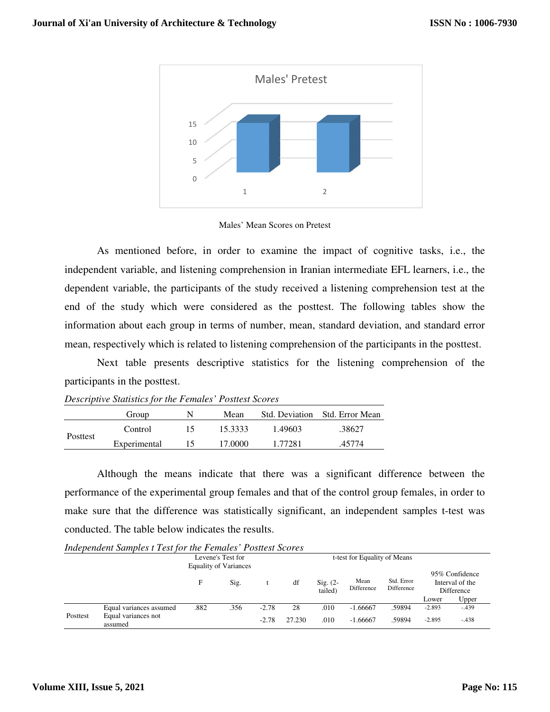

#### Males' Mean Scores on Pretest

As mentioned before, in order to examine the impact of cognitive tasks, i.e., the independent variable, and listening comprehension in Iranian intermediate EFL learners, i.e., the dependent variable, the participants of the study received a listening comprehension test at the end of the study which were considered as the posttest. The following tables show the information about each group in terms of number, mean, standard deviation, and standard error mean, respectively which is related to listening comprehension of the participants in the posttest. espectively which is related to listening comprehension of the participants in the posttest.<br>Next table presents descriptive statistics for the listening comprehension of the mentioned before, in order to examine the impact of cognitive tasks, i.e., the tvariable, and listening comprehension in Iranian intermediate EFL learners, i.e., the variable, the participants of the study received a liste

participants in the posttest.

|          | Bescriptive Biansness for the 1 chances 1 concent Secrets |    |         |         |                                |
|----------|-----------------------------------------------------------|----|---------|---------|--------------------------------|
|          | Group                                                     |    | Mean    |         | Std. Deviation Std. Error Mean |
| Posttest | Control                                                   | רו | 15.3333 | 1.49603 | .38627                         |
|          | Experimental                                              | L٦ | 17.0000 | 1.77281 | .45774                         |

*Descriptive Statistics for the Females' Posttest Scores Scores*

Although the means indicate that there was a significant difference between the performance of the experimental group females and that of the control group females, in order to make sure that the difference was statistically significant, an independent samples t-test was conducted. The table below indicates the results. Although the means indicate that there was a significant difference between the performance of the experimental group females and that of the control group females, in order make sure that the difference was statistically d deviation, and standard error<br>the participants in the posttest.<br>ening comprehension of the<br>or Mean<br>or Mean<br>icant difference between the<br>ntrol group females, in order to<br>ndependent samples t-test was

*Independent Samples t Test for the Females' Posttest Scores for the Females'* 

|          | <b>Thurbeauth Dunples FIGS for the I changes I concert Devilus</b> |      |                              |         |        |                                |                              |                          |                                                                          |         |
|----------|--------------------------------------------------------------------|------|------------------------------|---------|--------|--------------------------------|------------------------------|--------------------------|--------------------------------------------------------------------------|---------|
|          | Levene's Test for                                                  |      |                              |         |        |                                | t-test for Equality of Means |                          |                                                                          |         |
|          |                                                                    |      | <b>Equality of Variances</b> |         |        |                                |                              |                          |                                                                          |         |
|          |                                                                    | F    | Sig.                         |         | df     | $\mathrm{Sig.}$ (2-<br>tailed) | Mean<br>Difference           | Std. Error<br>Difference | 95% Confidence<br>Interval of the<br><b>Difference</b><br>Upper<br>Lower |         |
|          | Equal variances assumed                                            | .882 | .356                         | $-2.78$ | 28     | .010                           | $-1.66667$                   | .59894                   | $-2.893$                                                                 | $-.439$ |
| Posttest | Equal variances not<br>assumed                                     |      |                              | $-2.78$ | 27.230 | .010                           | $-1.66667$                   | .59894                   | $-2.895$                                                                 | $-.438$ |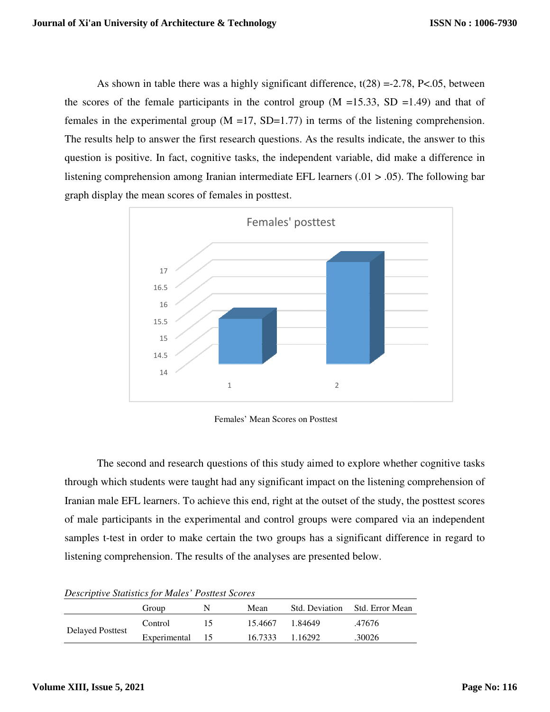As shown in table there was a highly significant difference,  $t(28) = -2.78$ , P<.05, between the scores of the female participants in the control group  $(M = 15.33, SD = 1.49)$  and that of the scores of the female participants in the control group  $(M = 15.33, SD = 1.49)$  and that of females in the experimental group  $(M = 17, SD = 1.77)$  in terms of the listening comprehension. The results help to answer the first research questions. As the results indicate, the answer to this question is positive. In fact, cognitive tasks, the independent variable, did make a difference in listening comprehension among Iranian intermediate EFL learners  $(.01 > .05)$ . The following bar graph display the mean scores of females in posttest. results help to answer the first research questions. As the results indicate, the answer to this<br>tion is positive. In fact, cognitive tasks, the independent variable, did make a difference in<br>ning comprehension among Iran



Females' Mean Scores on Posttest

The second and research questions of this study aimed to explore whether cognitive tasks through which students were taught had any significant impact on the listening comprehension of Iranian male EFL learners. To achieve this end, right at the outset of the study, the posttest scores of male participants in the experimental and control groups were compare samples t-test in order to make certain the two groups has a significant difference in regard to listening comprehension. The results of the analyses are presented below. listening comprehension. The results of the analyses are presented below. The second and research questions of this study aimed to explore whether cognitive tasks<br>which students were taught had any significant impact on the listening comprehension of<br>nale EFL learners. To achieve this end, right

|                         | Group           | N | Mean    |         | Std. Deviation Std. Error Mean |
|-------------------------|-----------------|---|---------|---------|--------------------------------|
|                         | Control         |   | 15.4667 | 1 84649 | .47676                         |
| <b>Delayed Posttest</b> | Experimental 15 |   | 16.7333 | 1.16292 | .30026                         |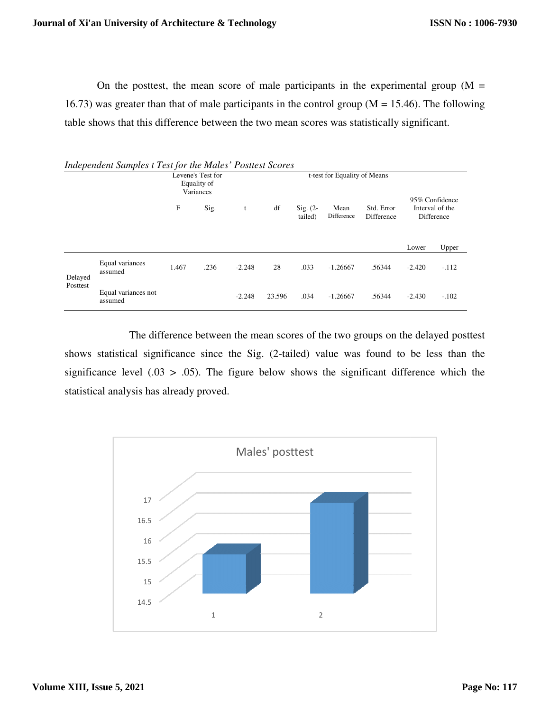On the posttest, the mean score of male participants in the experimental group  $(M =$ 16.73) was greater than that of male participants in the control group ( $M = 15.46$ ). table shows that this difference between the two mean scores was statistic ally the posttest, the mean score of male participants in the experimental group greater than that of male participants in the control group  $(M = 15.46)$ . The forthat this difference between the two mean scores was statisticall The following

|                     |                                |       | Levene's Test for<br>Equality of<br>Variances |          | t-test for Equality of Means |                       |                    |                          |          |                                                 |  |
|---------------------|--------------------------------|-------|-----------------------------------------------|----------|------------------------------|-----------------------|--------------------|--------------------------|----------|-------------------------------------------------|--|
|                     |                                | F     | Sig.                                          | t        | df                           | $Sig. (2-$<br>tailed) | Mean<br>Difference | Std. Error<br>Difference |          | 95% Confidence<br>Interval of the<br>Difference |  |
|                     |                                |       |                                               |          |                              |                       |                    |                          | Lower    | Upper                                           |  |
| Delayed<br>Posttest | Equal variances<br>assumed     | 1.467 | .236                                          | $-2.248$ | 28                           | .033                  | $-1.26667$         | .56344                   | $-2.420$ | $-.112$                                         |  |
|                     | Equal variances not<br>assumed |       |                                               | $-2.248$ | 23.596                       | .034                  | $-1.26667$         | .56344                   | $-2.430$ | $-.102$                                         |  |

**Independent Samples t Test for the Males' Posttest Scores** 

The difference between the mean scores of the two groups on the delayed posttest The difference between the mean scores of the two groups on the delayed posttest<br>shows statistical significance since the Sig. (2-tailed) value was found to be less than the shows statistical significance since the Sig. (2-tailed) value was found to be less than the significance level  $(.03 > .05)$ . The figure below shows the significant difference which the statistical analysis has already proved. proved.

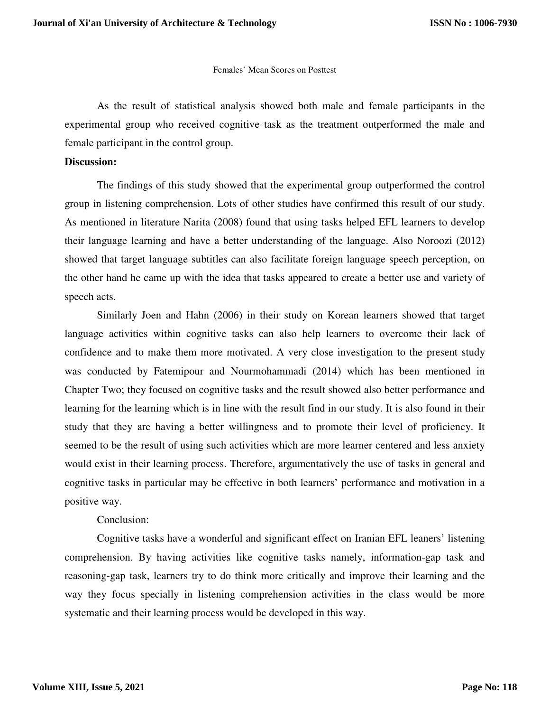#### Females' Mean Scores on Posttest

As the result of statistical analysis showed both male and female participants in the experimental group who received cognitive task as the treatment outperformed the male and female participant in the control group.

#### **Discussion:**

The findings of this study showed that the experimental group outperformed the control group in listening comprehension. Lots of other studies have confirmed this result of our study. As mentioned in literature Narita (2008) found that using tasks helped EFL learners to develop their language learning and have a better understanding of the language. Also Noroozi (2012) showed that target language subtitles can also facilitate foreign language speech perception, on the other hand he came up with the idea that tasks appeared to create a better use and variety of speech acts.

Similarly Joen and Hahn (2006) in their study on Korean learners showed that target language activities within cognitive tasks can also help learners to overcome their lack of confidence and to make them more motivated. A very close investigation to the present study was conducted by Fatemipour and Nourmohammadi (2014) which has been mentioned in Chapter Two; they focused on cognitive tasks and the result showed also better performance and learning for the learning which is in line with the result find in our study. It is also found in their study that they are having a better willingness and to promote their level of proficiency. It seemed to be the result of using such activities which are more learner centered and less anxiety would exist in their learning process. Therefore, argumentatively the use of tasks in general and cognitive tasks in particular may be effective in both learners' performance and motivation in a positive way.

# Conclusion:

Cognitive tasks have a wonderful and significant effect on Iranian EFL leaners' listening comprehension. By having activities like cognitive tasks namely, information-gap task and reasoning-gap task, learners try to do think more critically and improve their learning and the way they focus specially in listening comprehension activities in the class would be more systematic and their learning process would be developed in this way.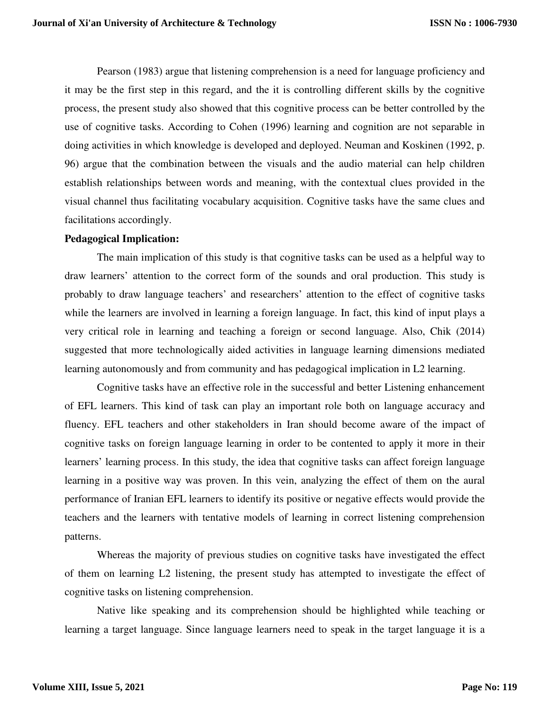Pearson (1983) argue that listening comprehension is a need for language proficiency and it may be the first step in this regard, and the it is controlling different skills by the cognitive process, the present study also showed that this cognitive process can be better controlled by the use of cognitive tasks. According to Cohen (1996) learning and cognition are not separable in doing activities in which knowledge is developed and deployed. Neuman and Koskinen (1992, p. 96) argue that the combination between the visuals and the audio material can help children establish relationships between words and meaning, with the contextual clues provided in the visual channel thus facilitating vocabulary acquisition. Cognitive tasks have the same clues and facilitations accordingly.

### **Pedagogical Implication:**

The main implication of this study is that cognitive tasks can be used as a helpful way to draw learners' attention to the correct form of the sounds and oral production. This study is probably to draw language teachers' and researchers' attention to the effect of cognitive tasks while the learners are involved in learning a foreign language. In fact, this kind of input plays a very critical role in learning and teaching a foreign or second language. Also, Chik (2014) suggested that more technologically aided activities in language learning dimensions mediated learning autonomously and from community and has pedagogical implication in L2 learning.

Cognitive tasks have an effective role in the successful and better Listening enhancement of EFL learners. This kind of task can play an important role both on language accuracy and fluency. EFL teachers and other stakeholders in Iran should become aware of the impact of cognitive tasks on foreign language learning in order to be contented to apply it more in their learners' learning process. In this study, the idea that cognitive tasks can affect foreign language learning in a positive way was proven. In this vein, analyzing the effect of them on the aural performance of Iranian EFL learners to identify its positive or negative effects would provide the teachers and the learners with tentative models of learning in correct listening comprehension patterns.

Whereas the majority of previous studies on cognitive tasks have investigated the effect of them on learning L2 listening, the present study has attempted to investigate the effect of cognitive tasks on listening comprehension.

Native like speaking and its comprehension should be highlighted while teaching or learning a target language. Since language learners need to speak in the target language it is a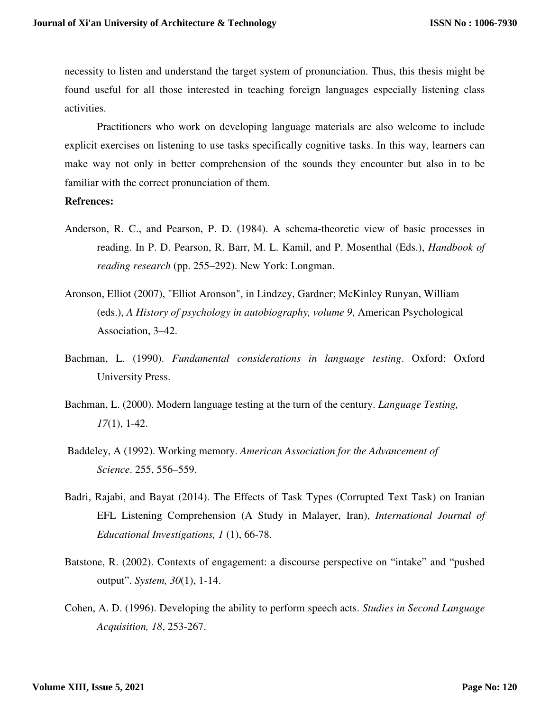necessity to listen and understand the target system of pronunciation. Thus, this thesis might be found useful for all those interested in teaching foreign languages especially listening class activities.

Practitioners who work on developing language materials are also welcome to include explicit exercises on listening to use tasks specifically cognitive tasks. In this way, learners can make way not only in better comprehension of the sounds they encounter but also in to be familiar with the correct pronunciation of them.

#### **Refrences:**

- Anderson, R. C., and Pearson, P. D. (1984). A schema-theoretic view of basic processes in reading. In P. D. Pearson, R. Barr, M. L. Kamil, and P. Mosenthal (Eds.), *Handbook of reading research* (pp. 255–292). New York: Longman.
- Aronson, Elliot (2007), "Elliot Aronson", in Lindzey, Gardner; McKinley Runyan, William (eds.), *A History of psychology in autobiography, volume 9*, American Psychological Association, 3–42.
- Bachman, L. (1990). *Fundamental considerations in language testing*. Oxford: Oxford University Press.
- Bachman, L. (2000). Modern language testing at the turn of the century. *Language Testing, 17*(1), 1-42.
- Baddeley, A (1992). Working memory. *American Association for the Advancement of Science*. 255, 556–559.
- Badri, Rajabi, and Bayat (2014). The Effects of Task Types (Corrupted Text Task) on Iranian EFL Listening Comprehension (A Study in Malayer, Iran), *International Journal of Educational Investigations, 1* (1), 66-78.
- Batstone, R. (2002). Contexts of engagement: a discourse perspective on "intake" and "pushed output". *System, 30*(1), 1-14.
- Cohen, A. D. (1996). Developing the ability to perform speech acts. *Studies in Second Language Acquisition, 18*, 253-267.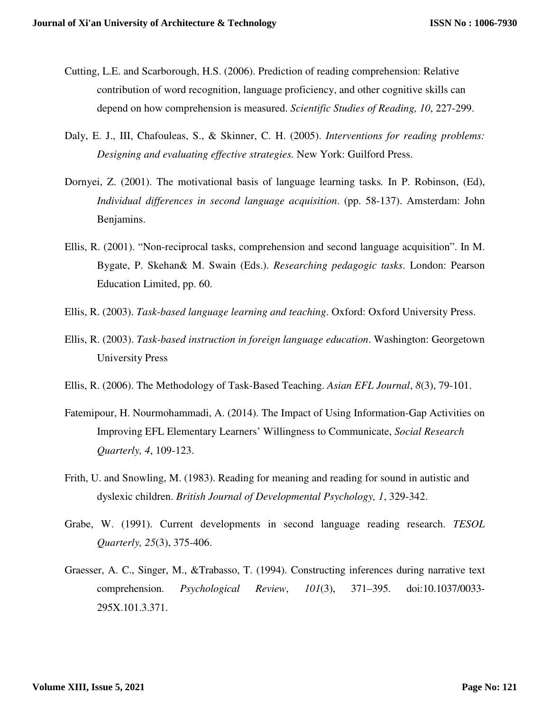- Cutting, L.E. and Scarborough, H.S. (2006). Prediction of reading comprehension: Relative contribution of word recognition, language proficiency, and other cognitive skills can depend on how comprehension is measured. *Scientific Studies of Reading, 10*, 227-299.
- Daly, E. J., III, Chafouleas, S., & Skinner, C. H. (2005). *Interventions for reading problems: Designing and evaluating effective strategies.* New York: Guilford Press.
- Dornyei, Z. (2001). The motivational basis of language learning tasks*.* In P. Robinson, (Ed), *Individual differences in second language acquisition*. (pp. 58-137). Amsterdam: John Benjamins.
- Ellis, R. (2001). "Non-reciprocal tasks, comprehension and second language acquisition". In M. Bygate, P. Skehan& M. Swain (Eds.). *Researching pedagogic tasks*. London: Pearson Education Limited, pp. 60.
- Ellis, R. (2003). *Task-based language learning and teaching*. Oxford: Oxford University Press.
- Ellis, R. (2003). *Task-based instruction in foreign language education*. Washington: Georgetown University Press
- Ellis, R. (2006). The Methodology of Task-Based Teaching. *Asian EFL Journal*, *8*(3), 79-101.
- Fatemipour, H. Nourmohammadi, A. (2014). The Impact of Using Information-Gap Activities on Improving EFL Elementary Learners' Willingness to Communicate, *Social Research Quarterly, 4*, 109-123.
- Frith, U. and Snowling, M. (1983). Reading for meaning and reading for sound in autistic and dyslexic children. *British Journal of Developmental Psychology, 1*, 329-342.
- Grabe, W. (1991). Current developments in second language reading research. *TESOL Quarterly, 25*(3), 375-406.
- Graesser, A. C., Singer, M., &Trabasso, T. (1994). Constructing inferences during narrative text comprehension. *Psychological Review*, *101*(3), 371–395. doi:10.1037/0033- 295X.101.3.371.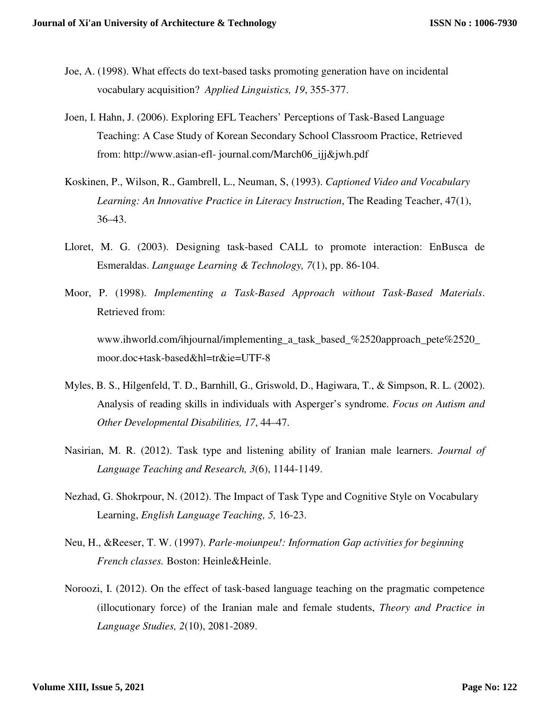- Joe, A. (1998). What effects do text-based tasks promoting generation have on incidental vocabulary acquisition? *Applied Linguistics, 19*, 355-377.
- Joen, I. Hahn, J. (2006). Exploring EFL Teachers' Perceptions of Task-Based Language Teaching: A Case Study of Korean Secondary School Classroom Practice, Retrieved from: http://www.asian-efl- journal.com/March06\_ijj&jwh.pdf
- Koskinen, P., Wilson, R., Gambrell, L., Neuman, S, (1993). *Captioned Video and Vocabulary Learning: An Innovative Practice in Literacy Instruction*, The Reading Teacher, 47(1), 36–43.
- Lloret, M. G. (2003). Designing task-based CALL to promote interaction: EnBusca de Esmeraldas. *Language Learning & Technology, 7*(1), pp. 86-104.
- Moor, P. (1998). *Implementing a Task-Based Approach without Task-Based Materials*. Retrieved from: www.ihworld.com/ihjournal/implementing a task based %2520approach pete%2520 moor.doc+task-based&hl=tr&ie=UTF-8
- Myles, B. S., Hilgenfeld, T. D., Barnhill, G., Griswold, D., Hagiwara, T., & Simpson, R. L. (2002). Analysis of reading skills in individuals with Asperger's syndrome. *Focus on Autism and Other Developmental Disabilities, 17*, 44–47.
- Nasirian, M. R. (2012). Task type and listening ability of Iranian male learners. *Journal of Language Teaching and Research, 3*(6), 1144-1149.
- Nezhad, G. Shokrpour, N. (2012). The Impact of Task Type and Cognitive Style on Vocabulary Learning, *English Language Teaching, 5,* 16-23.
- Neu, H., &Reeser, T. W. (1997). *Parle-moiunpeu!: Information Gap activities for beginning French classes.* Boston: Heinle&Heinle.
- Noroozi, I. (2012). On the effect of task-based language teaching on the pragmatic competence (illocutionary force) of the Iranian male and female students, *Theory and Practice in Language Studies, 2*(10), 2081-2089.